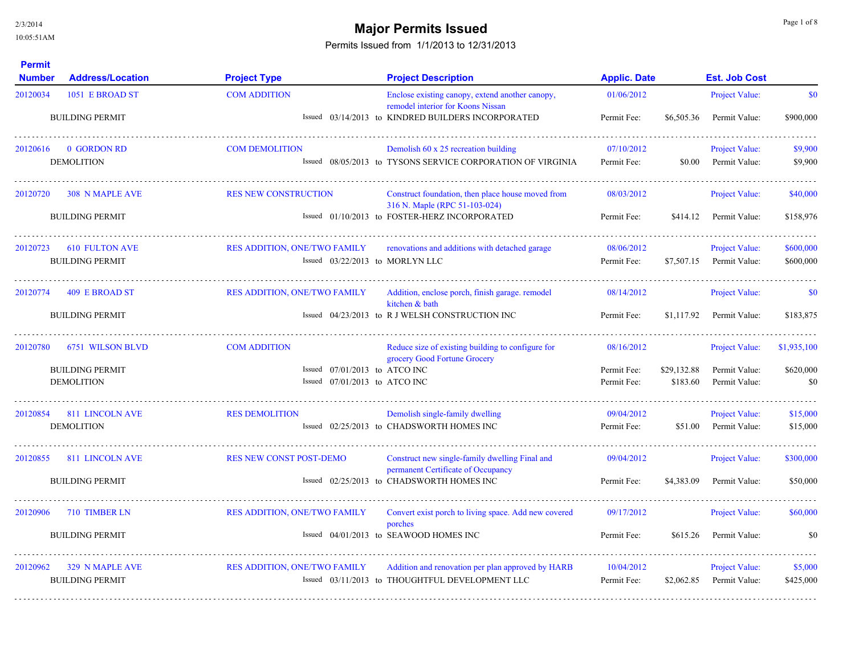## **Major Permits Issued Major Permits Issued**

| <b>Permit</b><br><b>Number</b> | <b>Address/Location</b>                     | <b>Project Type</b>                                                | <b>Project Description</b>                                                           | <b>Applic. Date</b>        |                         | <b>Est. Job Cost</b>           |                  |
|--------------------------------|---------------------------------------------|--------------------------------------------------------------------|--------------------------------------------------------------------------------------|----------------------------|-------------------------|--------------------------------|------------------|
| 20120034                       | 1051 E BROAD ST                             | <b>COM ADDITION</b>                                                | Enclose existing canopy, extend another canopy,<br>remodel interior for Koons Nissan | 01/06/2012                 |                         | Project Value:                 | \$0              |
|                                | <b>BUILDING PERMIT</b>                      |                                                                    | Issued 03/14/2013 to KINDRED BUILDERS INCORPORATED                                   | Permit Fee:                | \$6,505.36              | Permit Value:                  | \$900,000        |
| 20120616                       | 0 GORDON RD                                 | <b>COM DEMOLITION</b>                                              | Demolish 60 x 25 recreation building                                                 | 07/10/2012                 |                         | Project Value:                 | \$9,900          |
|                                | <b>DEMOLITION</b>                           |                                                                    | Issued 08/05/2013 to TYSONS SERVICE CORPORATION OF VIRGINIA                          | Permit Fee:                | \$0.00                  | Permit Value:                  | \$9,900          |
| 20120720                       | <b>308 N MAPLE AVE</b>                      | <b>RES NEW CONSTRUCTION</b>                                        | Construct foundation, then place house moved from<br>316 N. Maple (RPC 51-103-024)   | 08/03/2012                 |                         | <b>Project Value:</b>          | \$40,000         |
|                                | <b>BUILDING PERMIT</b>                      |                                                                    | Issued 01/10/2013 to FOSTER-HERZ INCORPORATED                                        | Permit Fee:                | \$414.12                | Permit Value:                  | \$158,976        |
| 20120723                       | <b>610 FULTON AVE</b>                       | <b>RES ADDITION, ONE/TWO FAMILY</b>                                | renovations and additions with detached garage                                       | 08/06/2012                 |                         | Project Value:                 | \$600,000        |
|                                | <b>BUILDING PERMIT</b>                      | Issued 03/22/2013 to MORLYN LLC                                    |                                                                                      | Permit Fee:                | \$7,507.15              | Permit Value:                  | \$600,000        |
| 20120774                       | 409 E BROAD ST                              | <b>RES ADDITION, ONE/TWO FAMILY</b>                                | Addition, enclose porch, finish garage, remodel<br>kitchen & bath                    | 08/14/2012                 |                         | Project Value:                 | \$0              |
|                                | <b>BUILDING PERMIT</b>                      |                                                                    | Issued 04/23/2013 to R J WELSH CONSTRUCTION INC                                      | Permit Fee:                | \$1,117.92              | Permit Value:                  | \$183,875        |
| 20120780                       | 6751 WILSON BLVD                            | <b>COM ADDITION</b>                                                | Reduce size of existing building to configure for<br>grocery Good Fortune Grocery    | 08/16/2012                 |                         | Project Value:                 | \$1,935,100      |
|                                | <b>BUILDING PERMIT</b><br><b>DEMOLITION</b> | Issued $07/01/2013$ to ATCO INC<br>Issued $07/01/2013$ to ATCO INC |                                                                                      | Permit Fee:<br>Permit Fee: | \$29,132.88<br>\$183.60 | Permit Value:<br>Permit Value: | \$620,000<br>\$0 |
|                                |                                             |                                                                    |                                                                                      |                            |                         |                                |                  |
|                                | 20120854 811 LINCOLN AVE                    | <b>RES DEMOLITION</b>                                              | Demolish single-family dwelling                                                      | 09/04/2012                 |                         | <b>Project Value:</b>          | \$15,000         |
|                                | <b>DEMOLITION</b>                           |                                                                    | Issued 02/25/2013 to CHADSWORTH HOMES INC                                            | Permit Fee:                | \$51.00                 | Permit Value:                  | \$15,000         |
| 20120855                       | <b>811 LINCOLN AVE</b>                      | <b>RES NEW CONST POST-DEMO</b>                                     | Construct new single-family dwelling Final and<br>permanent Certificate of Occupancy | 09/04/2012                 |                         | Project Value:                 | \$300,000        |
|                                | <b>BUILDING PERMIT</b>                      |                                                                    | Issued 02/25/2013 to CHADSWORTH HOMES INC                                            | Permit Fee:                | \$4,383.09              | Permit Value:                  | \$50,000         |
| 20120906                       | 710 TIMBER LN                               | RES ADDITION, ONE/TWO FAMILY                                       | Convert exist porch to living space. Add new covered<br>porches                      | 09/17/2012                 |                         | Project Value:                 | \$60,000         |
|                                | <b>BUILDING PERMIT</b>                      |                                                                    | Issued 04/01/2013 to SEAWOOD HOMES INC                                               | Permit Fee:                | \$615.26                | Permit Value:                  | \$0              |
| 20120962                       | <b>329 N MAPLE AVE</b>                      | <b>RES ADDITION, ONE/TWO FAMILY</b>                                | Addition and renovation per plan approved by HARB                                    | 10/04/2012                 |                         | <b>Project Value:</b>          | \$5,000          |
|                                | <b>BUILDING PERMIT</b>                      |                                                                    | Issued 03/11/2013 to THOUGHTFUL DEVELOPMENT LLC                                      | Permit Fee:                | \$2,062.85              | Permit Value:                  | \$425,000        |
|                                |                                             |                                                                    |                                                                                      |                            |                         |                                |                  |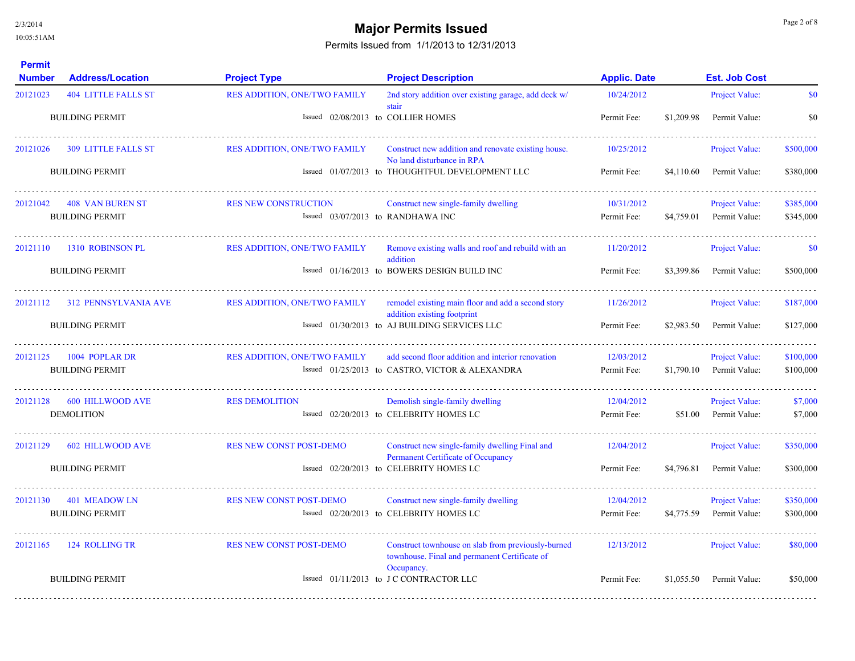# **Major Permits Issued Major Permits Issued**

| <b>Permit</b><br><b>Number</b> | <b>Address/Location</b>    | <b>Project Type</b>                 | <b>Project Description</b>                                                                          | <b>Applic. Date</b> |            | <b>Est. Job Cost</b>  |           |
|--------------------------------|----------------------------|-------------------------------------|-----------------------------------------------------------------------------------------------------|---------------------|------------|-----------------------|-----------|
| 20121023                       | <b>404 LITTLE FALLS ST</b> | <b>RES ADDITION, ONE/TWO FAMILY</b> | 2nd story addition over existing garage, add deck w/<br>stair                                       | 10/24/2012          |            | Project Value:        | \$0       |
|                                | <b>BUILDING PERMIT</b>     | Issued 02/08/2013 to COLLIER HOMES  |                                                                                                     | Permit Fee:         | \$1,209.98 | Permit Value:         | \$0       |
| 20121026                       | <b>309 LITTLE FALLS ST</b> | <b>RES ADDITION, ONE/TWO FAMILY</b> | Construct new addition and renovate existing house.<br>No land disturbance in RPA                   | 10/25/2012          |            | <b>Project Value:</b> | \$500,000 |
|                                | <b>BUILDING PERMIT</b>     |                                     | Issued 01/07/2013 to THOUGHTFUL DEVELOPMENT LLC                                                     | Permit Fee:         | \$4,110.60 | Permit Value:         | \$380,000 |
| 20121042                       | 408 VAN BUREN ST           | <b>RES NEW CONSTRUCTION</b>         | Construct new single-family dwelling                                                                | 10/31/2012          |            | <b>Project Value:</b> | \$385,000 |
|                                | <b>BUILDING PERMIT</b>     | Issued $03/07/2013$ to RANDHAWA INC |                                                                                                     | Permit Fee:         | \$4,759.01 | Permit Value:         | \$345,000 |
| 20121110                       | 1310 ROBINSON PL           | <b>RES ADDITION, ONE/TWO FAMILY</b> | Remove existing walls and roof and rebuild with an<br>addition                                      | 11/20/2012          |            | Project Value:        | \$0       |
|                                | <b>BUILDING PERMIT</b>     |                                     | Issued 01/16/2013 to BOWERS DESIGN BUILD INC                                                        | Permit Fee:         | \$3,399.86 | Permit Value:         | \$500,000 |
| 20121112                       | 312 PENNSYLVANIA AVE       | <b>RES ADDITION, ONE/TWO FAMILY</b> | remodel existing main floor and add a second story<br>addition existing footprint                   | 11/26/2012          |            | <b>Project Value:</b> | \$187,000 |
|                                | <b>BUILDING PERMIT</b>     |                                     | Issued 01/30/2013 to AJ BUILDING SERVICES LLC                                                       | Permit Fee:         | \$2,983.50 | Permit Value:         | \$127,000 |
| 20121125                       | 1004 POPLAR DR             | <b>RES ADDITION, ONE/TWO FAMILY</b> | add second floor addition and interior renovation                                                   | 12/03/2012          |            | <b>Project Value:</b> | \$100,000 |
|                                | <b>BUILDING PERMIT</b>     |                                     | Issued 01/25/2013 to CASTRO, VICTOR & ALEXANDRA                                                     | Permit Fee:         | \$1,790.10 | Permit Value:         | \$100,000 |
| 20121128                       | <b>600 HILLWOOD AVE</b>    | <b>RES DEMOLITION</b>               | Demolish single-family dwelling                                                                     | 12/04/2012          |            | Project Value:        | \$7,000   |
|                                | <b>DEMOLITION</b>          |                                     | Issued 02/20/2013 to CELEBRITY HOMES LC                                                             | Permit Fee:         | \$51.00    | Permit Value:         | \$7,000   |
| 20121129                       | <b>602 HILLWOOD AVE</b>    | <b>RES NEW CONST POST-DEMO</b>      | Construct new single-family dwelling Final and<br>Permanent Certificate of Occupancy                | 12/04/2012          |            | <b>Project Value:</b> | \$350,000 |
|                                | <b>BUILDING PERMIT</b>     |                                     | Issued 02/20/2013 to CELEBRITY HOMES LC                                                             | Permit Fee:         | \$4,796.81 | Permit Value:         | \$300,000 |
| 20121130                       | 401 MEADOW LN              | <b>RES NEW CONST POST-DEMO</b>      | Construct new single-family dwelling                                                                | 12/04/2012          |            | Project Value:        | \$350,000 |
|                                | <b>BUILDING PERMIT</b>     |                                     | Issued 02/20/2013 to CELEBRITY HOMES LC                                                             | Permit Fee:         | \$4,775.59 | Permit Value:         | \$300,000 |
| 20121165                       | 124 ROLLING TR             | <b>RES NEW CONST POST-DEMO</b>      | Construct townhouse on slab from previously-burned<br>townhouse. Final and permanent Certificate of | 12/13/2012          |            | <b>Project Value:</b> | \$80,000  |
|                                | <b>BUILDING PERMIT</b>     |                                     | Occupancy.<br>Issued 01/11/2013 to JC CONTRACTOR LLC                                                | Permit Fee:         | \$1,055.50 | Permit Value:         | \$50,000  |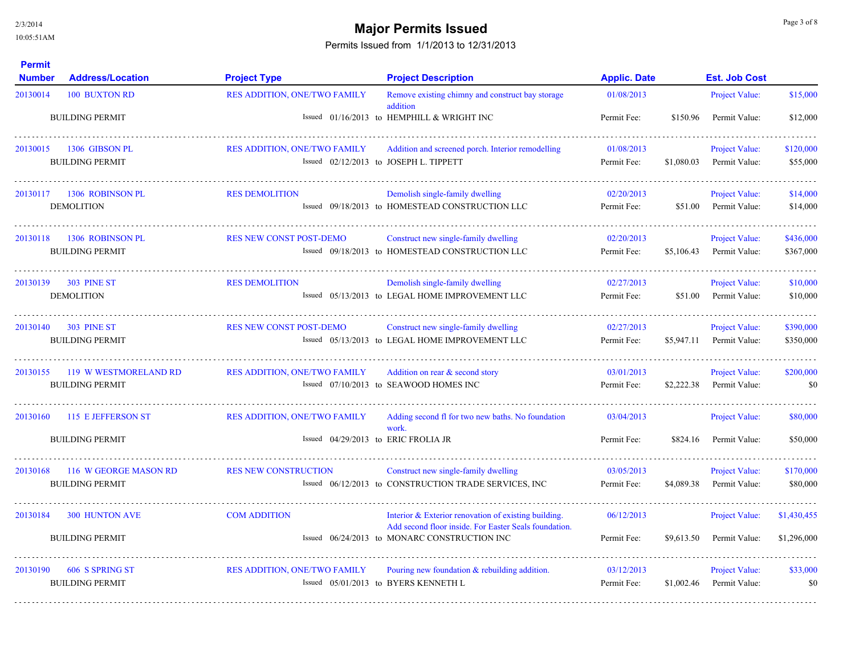# **Major Permits Issued** and the state of  $\frac{Page 3 \text{ of } 8}{Type 3 \text{ of } 8}$

| <b>Permit</b><br><b>Number</b> | <b>Address/Location</b>                         | <b>Project Type</b>                                                 | <b>Project Description</b>                                                                                                                                    | <b>Applic. Date</b>       |            | <b>Est. Job Cost</b>                   |                            |
|--------------------------------|-------------------------------------------------|---------------------------------------------------------------------|---------------------------------------------------------------------------------------------------------------------------------------------------------------|---------------------------|------------|----------------------------------------|----------------------------|
| 20130014                       | <b>100 BUXTON RD</b>                            | <b>RES ADDITION, ONE/TWO FAMILY</b>                                 | Remove existing chimny and construct bay storage<br>addition                                                                                                  | 01/08/2013                |            | Project Value:                         | \$15,000                   |
|                                | <b>BUILDING PERMIT</b>                          |                                                                     | Issued 01/16/2013 to HEMPHILL & WRIGHT INC                                                                                                                    | Permit Fee:               | \$150.96   | Permit Value:                          | \$12,000                   |
| 20130015                       | 1306 GIBSON PL<br><b>BUILDING PERMIT</b>        | <b>RES ADDITION, ONE/TWO FAMILY</b>                                 | Addition and screened porch. Interior remodelling<br>Issued 02/12/2013 to JOSEPH L. TIPPETT                                                                   | 01/08/2013<br>Permit Fee: | \$1,080.03 | Project Value:<br>Permit Value:        | \$120,000<br>\$55,000      |
| 20130117                       | 1306 ROBINSON PL<br><b>DEMOLITION</b>           | <b>RES DEMOLITION</b>                                               | Demolish single-family dwelling<br>Issued 09/18/2013 to HOMESTEAD CONSTRUCTION LLC                                                                            | 02/20/2013<br>Permit Fee: | \$51.00    | Project Value:<br>Permit Value:        | \$14,000<br>\$14,000       |
| 20130118                       | 1306 ROBINSON PL<br><b>BUILDING PERMIT</b>      | <b>RES NEW CONST POST-DEMO</b>                                      | Construct new single-family dwelling<br>Issued 09/18/2013 to HOMESTEAD CONSTRUCTION LLC                                                                       | 02/20/2013<br>Permit Fee: | \$5,106.43 | Project Value:<br>Permit Value:        | \$436,000<br>\$367,000     |
| 20130139                       | <b>303 PINE ST</b><br><b>DEMOLITION</b>         | <b>RES DEMOLITION</b>                                               | Demolish single-family dwelling<br>Issued 05/13/2013 to LEGAL HOME IMPROVEMENT LLC                                                                            | 02/27/2013<br>Permit Fee: | \$51.00    | Project Value:<br>Permit Value:        | \$10,000<br>\$10,000       |
| 20130140                       | 303 PINE ST<br><b>BUILDING PERMIT</b>           | <b>RES NEW CONST POST-DEMO</b>                                      | Construct new single-family dwelling<br>Issued 05/13/2013 to LEGAL HOME IMPROVEMENT LLC                                                                       | 02/27/2013<br>Permit Fee: | \$5,947.11 | <b>Project Value:</b><br>Permit Value: | \$390,000<br>\$350,000     |
| 20130155                       | 119 W WESTMORELAND RD<br><b>BUILDING PERMIT</b> | <b>RES ADDITION, ONE/TWO FAMILY</b>                                 | Addition on rear & second story<br>Issued 07/10/2013 to SEAWOOD HOMES INC                                                                                     | 03/01/2013<br>Permit Fee: | \$2,222.38 | <b>Project Value:</b><br>Permit Value: | \$200,000<br>\$0           |
| 20130160                       | 115 E JEFFERSON ST<br><b>BUILDING PERMIT</b>    | RES ADDITION, ONE/TWO FAMILY<br>Issued 04/29/2013 to ERIC FROLIA JR | Adding second fl for two new baths. No foundation<br>work.                                                                                                    | 03/04/2013<br>Permit Fee: | \$824.16   | Project Value:<br>Permit Value:        | \$80,000<br>\$50,000       |
| 20130168                       | 116 W GEORGE MASON RD<br><b>BUILDING PERMIT</b> | <b>RES NEW CONSTRUCTION</b>                                         | Construct new single-family dwelling<br>Issued 06/12/2013 to CONSTRUCTION TRADE SERVICES, INC                                                                 | 03/05/2013<br>Permit Fee: | \$4,089.38 | Project Value:<br>Permit Value:        | \$170,000<br>\$80,000      |
| 20130184                       | <b>300 HUNTON AVE</b><br><b>BUILDING PERMIT</b> | <b>COM ADDITION</b>                                                 | Interior & Exterior renovation of existing building.<br>Add second floor inside. For Easter Seals foundation.<br>Issued 06/24/2013 to MONARC CONSTRUCTION INC | 06/12/2013<br>Permit Fee: | \$9,613.50 | <b>Project Value:</b><br>Permit Value: | \$1,430,455<br>\$1,296,000 |
| 20130190                       | 606 S SPRING ST<br><b>BUILDING PERMIT</b>       | <b>RES ADDITION, ONE/TWO FAMILY</b>                                 | Pouring new foundation $&$ rebuilding addition.<br>Issued 05/01/2013 to BYERS KENNETH L                                                                       | 03/12/2013<br>Permit Fee: | \$1,002.46 | Project Value:<br>Permit Value:        | \$33,000<br>\$0            |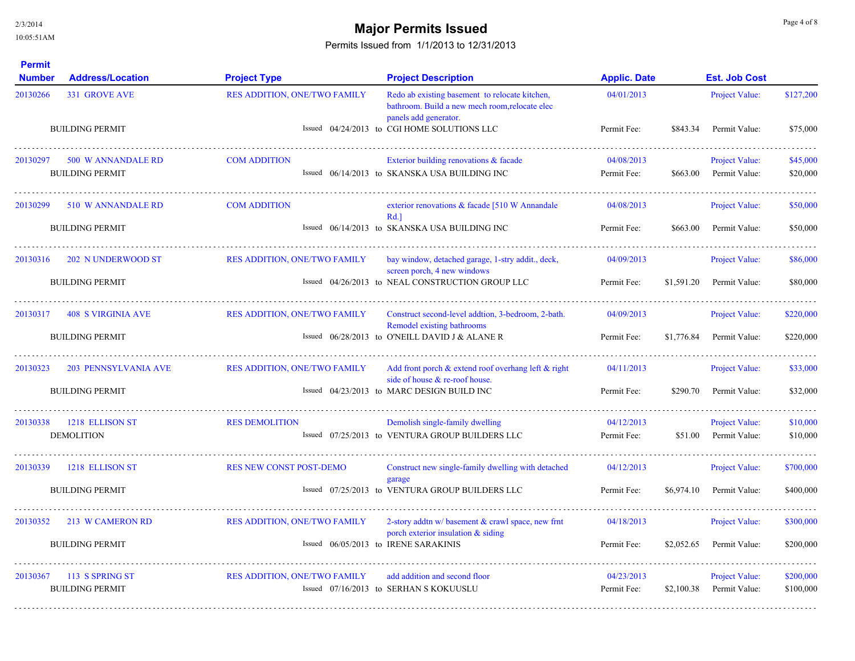# **Major Permits Issued** and the state of  $\frac{Page 4 \text{ of } 8}{Type 4 \text{ of } 8}$

| <b>Permit</b><br><b>Number</b> | <b>Address/Location</b>     | <b>Project Type</b>                 | <b>Project Description</b>                                                                                                | <b>Applic. Date</b> |            | <b>Est. Job Cost</b>  |           |
|--------------------------------|-----------------------------|-------------------------------------|---------------------------------------------------------------------------------------------------------------------------|---------------------|------------|-----------------------|-----------|
| 20130266                       | <b>331 GROVE AVE</b>        | <b>RES ADDITION, ONE/TWO FAMILY</b> | Redo ab existing basement to relocate kitchen,<br>bathroom. Build a new mech room, relocate elec<br>panels add generator. | 04/01/2013          |            | Project Value:        | \$127,200 |
|                                | <b>BUILDING PERMIT</b>      |                                     | Issued 04/24/2013 to CGI HOME SOLUTIONS LLC                                                                               | Permit Fee:         | \$843.34   | Permit Value:         | \$75,000  |
| 20130297                       | 500 W ANNANDALE RD          | <b>COM ADDITION</b>                 | Exterior building renovations & facade                                                                                    | 04/08/2013          |            | <b>Project Value:</b> | \$45,000  |
|                                | <b>BUILDING PERMIT</b>      |                                     | Issued 06/14/2013 to SKANSKA USA BUILDING INC                                                                             | Permit Fee:         | \$663.00   | Permit Value:         | \$20,000  |
| 20130299                       | 510 W ANNANDALE RD          | <b>COM ADDITION</b>                 | exterior renovations & facade [510 W Annandale<br>Rd.                                                                     | 04/08/2013          |            | <b>Project Value:</b> | \$50,000  |
|                                | <b>BUILDING PERMIT</b>      |                                     | Issued 06/14/2013 to SKANSKA USA BUILDING INC                                                                             | Permit Fee:         | \$663.00   | Permit Value:         | \$50,000  |
| 20130316                       | 202 N UNDERWOOD ST          | <b>RES ADDITION, ONE/TWO FAMILY</b> | bay window, detached garage, 1-stry addit., deck,<br>screen porch, 4 new windows                                          | 04/09/2013          |            | Project Value:        | \$86,000  |
|                                | <b>BUILDING PERMIT</b>      |                                     | Issued 04/26/2013 to NEAL CONSTRUCTION GROUP LLC                                                                          | Permit Fee:         | \$1,591.20 | Permit Value:         | \$80,000  |
| 20130317                       | <b>408 S VIRGINIA AVE</b>   | RES ADDITION, ONE/TWO FAMILY        | Construct second-level addtion, 3-bedroom, 2-bath.<br>Remodel existing bathrooms                                          | 04/09/2013          |            | <b>Project Value:</b> | \$220,000 |
|                                | <b>BUILDING PERMIT</b>      |                                     | Issued 06/28/2013 to O'NEILL DAVID J & ALANE R                                                                            | Permit Fee:         | \$1,776.84 | Permit Value:         | \$220,000 |
| 20130323                       | <b>203 PENNSYLVANIA AVE</b> | RES ADDITION, ONE/TWO FAMILY        | Add front porch $\&$ extend roof overhang left $\&$ right<br>side of house $\&$ re-roof house.                            | 04/11/2013          |            | Project Value:        | \$33,000  |
|                                | <b>BUILDING PERMIT</b>      |                                     | Issued 04/23/2013 to MARC DESIGN BUILD INC                                                                                | Permit Fee:         | \$290.70   | Permit Value:         | \$32,000  |
| 20130338                       | 1218 ELLISON ST             | <b>RES DEMOLITION</b>               | Demolish single-family dwelling                                                                                           | 04/12/2013          |            | Project Value:        | \$10,000  |
|                                | <b>DEMOLITION</b>           |                                     | Issued 07/25/2013 to VENTURA GROUP BUILDERS LLC                                                                           | Permit Fee:         | \$51.00    | Permit Value:         | \$10,000  |
| 20130339                       | 1218 ELLISON ST             | <b>RES NEW CONST POST-DEMO</b>      | Construct new single-family dwelling with detached<br>garage                                                              | 04/12/2013          |            | Project Value:        | \$700,000 |
|                                | <b>BUILDING PERMIT</b>      |                                     | Issued 07/25/2013 to VENTURA GROUP BUILDERS LLC                                                                           | Permit Fee:         | \$6,974.10 | Permit Value:         | \$400,000 |
| 20130352                       | 213 W CAMERON RD            | <b>RES ADDITION, ONE/TWO FAMILY</b> | 2-story addtn $w$ basement $\&$ crawl space, new frnt<br>porch exterior insulation $\&$ siding                            | 04/18/2013          |            | Project Value:        | \$300,000 |
|                                | <b>BUILDING PERMIT</b>      |                                     | Issued 06/05/2013 to IRENE SARAKINIS                                                                                      | Permit Fee:         | \$2,052.65 | Permit Value:         | \$200,000 |
| 20130367                       | 113 S SPRING ST             | <b>RES ADDITION, ONE/TWO FAMILY</b> | add addition and second floor                                                                                             | 04/23/2013          |            | Project Value:        | \$200,000 |
|                                | <b>BUILDING PERMIT</b>      |                                     | Issued 07/16/2013 to SERHAN S KOKUUSLU                                                                                    | Permit Fee:         | \$2,100.38 | Permit Value:         | \$100,000 |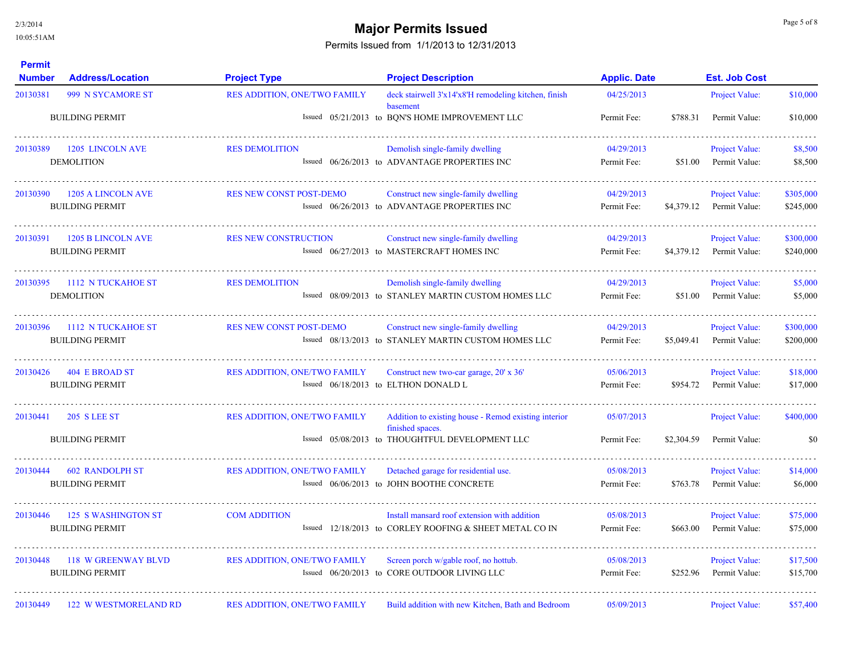## **Major Permits Issued Major Permits Issued Page 5 of 8 Major Permits Issued**

| <b>Permit</b><br><b>Number</b> | <b>Address/Location</b>                              | <b>Project Type</b>                 | <b>Project Description</b>                                                                                                  | <b>Applic. Date</b>       |            | <b>Est. Job Cost</b>                   |                        |
|--------------------------------|------------------------------------------------------|-------------------------------------|-----------------------------------------------------------------------------------------------------------------------------|---------------------------|------------|----------------------------------------|------------------------|
| 20130381                       | 999 N SYCAMORE ST                                    | RES ADDITION, ONE/TWO FAMILY        | deck stairwell 3'x14'x8'H remodeling kitchen, finish                                                                        | 04/25/2013                |            | Project Value:                         | \$10,000               |
|                                | <b>BUILDING PERMIT</b>                               |                                     | basement<br>Issued 05/21/2013 to BQN'S HOME IMPROVEMENT LLC                                                                 | Permit Fee:               | \$788.31   | Permit Value:                          | \$10,000               |
| 20130389                       | 1205 LINCOLN AVE<br><b>DEMOLITION</b>                | <b>RES DEMOLITION</b>               | Demolish single-family dwelling<br>Issued 06/26/2013 to ADVANTAGE PROPERTIES INC                                            | 04/29/2013<br>Permit Fee: | \$51.00    | Project Value:<br>Permit Value:        | \$8,500<br>\$8,500     |
| 20130390                       | <b>1205 A LINCOLN AVE</b><br><b>BUILDING PERMIT</b>  | <b>RES NEW CONST POST-DEMO</b>      | Construct new single-family dwelling<br>Issued 06/26/2013 to ADVANTAGE PROPERTIES INC                                       | 04/29/2013<br>Permit Fee: | \$4,379.12 | Project Value:<br>Permit Value:        | \$305,000<br>\$245,000 |
| 20130391                       | <b>1205 B LINCOLN AVE</b><br><b>BUILDING PERMIT</b>  | <b>RES NEW CONSTRUCTION</b>         | Construct new single-family dwelling<br>Issued 06/27/2013 to MASTERCRAFT HOMES INC                                          | 04/29/2013<br>Permit Fee: | \$4,379.12 | Project Value:<br>Permit Value:        | \$300,000<br>\$240,000 |
| 20130395                       | 1112 N TUCKAHOE ST<br><b>DEMOLITION</b>              | <b>RES DEMOLITION</b>               | Demolish single-family dwelling<br>Issued 08/09/2013 to STANLEY MARTIN CUSTOM HOMES LLC                                     | 04/29/2013<br>Permit Fee: | \$51.00    | Project Value:<br>Permit Value:        | \$5,000<br>\$5,000     |
| 20130396                       | 1112 N TUCKAHOE ST<br><b>BUILDING PERMIT</b>         | <b>RES NEW CONST POST-DEMO</b>      | Construct new single-family dwelling<br>Issued 08/13/2013 to STANLEY MARTIN CUSTOM HOMES LLC                                | 04/29/2013<br>Permit Fee: | \$5,049.41 | Project Value:<br>Permit Value:        | \$300,000<br>\$200,000 |
| 20130426                       | 404 E BROAD ST<br><b>BUILDING PERMIT</b>             | <b>RES ADDITION, ONE/TWO FAMILY</b> | Construct new two-car garage, 20' x 36'<br>Issued 06/18/2013 to ELTHON DONALD L                                             | 05/06/2013<br>Permit Fee: | \$954.72   | Project Value:<br>Permit Value:        | \$18,000<br>\$17,000   |
| 20130441                       | <b>205 S LEE ST</b><br><b>BUILDING PERMIT</b>        | <b>RES ADDITION, ONE/TWO FAMILY</b> | Addition to existing house - Remod existing interior<br>finished spaces.<br>Issued 05/08/2013 to THOUGHTFUL DEVELOPMENT LLC | 05/07/2013<br>Permit Fee: | \$2,304.59 | Project Value:<br>Permit Value:        | \$400,000<br>\$0       |
| 20130444                       | <b>602 RANDOLPH ST</b><br><b>BUILDING PERMIT</b>     | <b>RES ADDITION, ONE/TWO FAMILY</b> | Detached garage for residential use.<br>Issued 06/06/2013 to JOHN BOOTHE CONCRETE                                           | 05/08/2013<br>Permit Fee: | \$763.78   | Project Value:<br>Permit Value:        | \$14,000<br>\$6,000    |
| 20130446                       | <b>125 S WASHINGTON ST</b><br><b>BUILDING PERMIT</b> | <b>COM ADDITION</b>                 | Install mansard roof extension with addition<br>Issued 12/18/2013 to CORLEY ROOFING & SHEET METAL CO IN                     | 05/08/2013<br>Permit Fee: | \$663.00   | Project Value:<br>Permit Value:        | \$75,000<br>\$75,000   |
| 20130448                       | 118 W GREENWAY BLVD<br><b>BUILDING PERMIT</b>        | <b>RES ADDITION, ONE/TWO FAMILY</b> | Screen porch w/gable roof, no hottub.<br>Issued 06/20/2013 to CORE OUTDOOR LIVING LLC                                       | 05/08/2013<br>Permit Fee: | \$252.96   | <b>Project Value:</b><br>Permit Value: | \$17,500<br>\$15,700   |
| 20130449                       | <b>122 W WESTMORELAND RD</b>                         | <b>RES ADDITION, ONE/TWO FAMILY</b> | Build addition with new Kitchen, Bath and Bedroom                                                                           | 05/09/2013                |            | Project Value:                         | \$57,400               |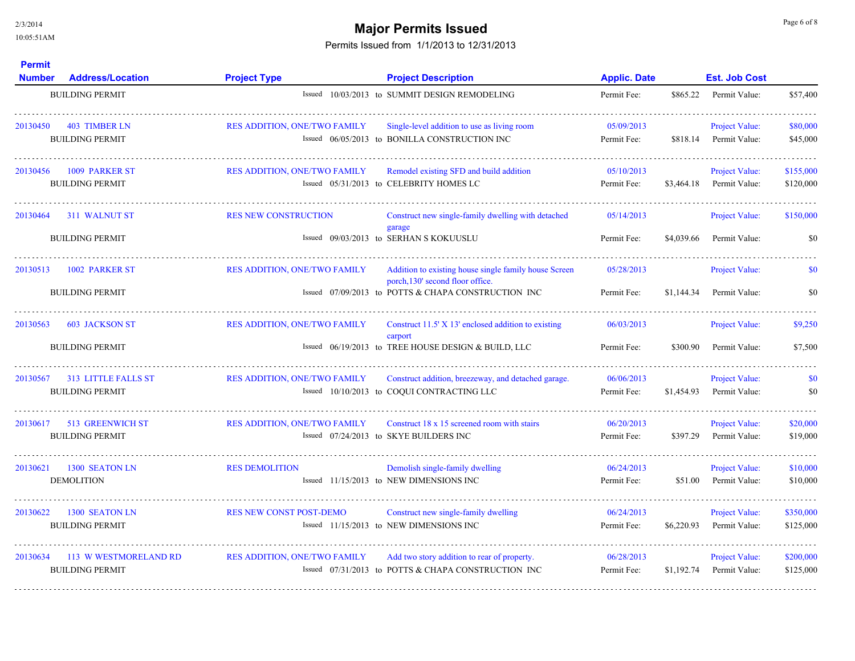**Permit** 

## **Major Permits Issued Major Permits Issued**

| <b>Number</b> | <b>Address/Location</b>    | <b>Project Type</b>                 | <b>Project Description</b>                                                                | <b>Applic. Date</b> |            | <b>Est. Job Cost</b>  |           |
|---------------|----------------------------|-------------------------------------|-------------------------------------------------------------------------------------------|---------------------|------------|-----------------------|-----------|
|               | <b>BUILDING PERMIT</b>     |                                     | Issued 10/03/2013 to SUMMIT DESIGN REMODELING                                             | Permit Fee:         | \$865.22   | Permit Value:         | \$57,400  |
| 20130450      | 403 TIMBER LN              | <b>RES ADDITION, ONE/TWO FAMILY</b> | Single-level addition to use as living room                                               | 05/09/2013          |            | Project Value:        | \$80,000  |
|               | <b>BUILDING PERMIT</b>     |                                     | Issued 06/05/2013 to BONILLA CONSTRUCTION INC                                             | Permit Fee:         | \$818.14   | Permit Value:         | \$45,000  |
| 20130456      | 1009 PARKER ST             | <b>RES ADDITION, ONE/TWO FAMILY</b> | Remodel existing SFD and build addition                                                   | 05/10/2013          |            | <b>Project Value:</b> | \$155,000 |
|               | <b>BUILDING PERMIT</b>     |                                     | Issued 05/31/2013 to CELEBRITY HOMES LC                                                   | Permit Fee:         | \$3,464.18 | Permit Value:         | \$120,000 |
| 20130464      | 311 WALNUT ST              | <b>RES NEW CONSTRUCTION</b>         | Construct new single-family dwelling with detached<br>garage                              | 05/14/2013          |            | <b>Project Value:</b> | \$150,000 |
|               | <b>BUILDING PERMIT</b>     |                                     | Issued 09/03/2013 to SERHAN S KOKUUSLU                                                    | Permit Fee:         | \$4,039.66 | Permit Value:         | \$0       |
| 20130513      | 1002 PARKER ST             | <b>RES ADDITION, ONE/TWO FAMILY</b> | Addition to existing house single family house Screen<br>porch, 130' second floor office. | 05/28/2013          |            | <b>Project Value:</b> | \$0       |
|               | <b>BUILDING PERMIT</b>     |                                     | Issued 07/09/2013 to POTTS & CHAPA CONSTRUCTION INC                                       | Permit Fee:         | \$1,144.34 | Permit Value:         | \$0       |
| 20130563      | <b>603 JACKSON ST</b>      | <b>RES ADDITION, ONE/TWO FAMILY</b> | Construct $11.5'$ X 13' enclosed addition to existing<br>carport                          | 06/03/2013          |            | <b>Project Value:</b> | \$9,250   |
|               | <b>BUILDING PERMIT</b>     |                                     | Issued 06/19/2013 to TREE HOUSE DESIGN & BUILD, LLC                                       | Permit Fee:         | \$300.90   | Permit Value:         | \$7,500   |
| 20130567      | <b>313 LITTLE FALLS ST</b> | <b>RES ADDITION, ONE/TWO FAMILY</b> | Construct addition, breezeway, and detached garage.                                       | 06/06/2013          |            | Project Value:        | \$0       |
|               | <b>BUILDING PERMIT</b>     |                                     | Issued 10/10/2013 to COOUI CONTRACTING LLC                                                | Permit Fee:         | \$1,454.93 | Permit Value:         | \$0       |
| 20130617      | 513 GREENWICH ST           | <b>RES ADDITION, ONE/TWO FAMILY</b> | Construct 18 x 15 screened room with stairs                                               | 06/20/2013          |            | <b>Project Value:</b> | \$20,000  |
|               | <b>BUILDING PERMIT</b>     |                                     | Issued 07/24/2013 to SKYE BUILDERS INC                                                    | Permit Fee:         | \$397.29   | Permit Value:         | \$19,000  |
| 20130621      | 1300 SEATON LN             | <b>RES DEMOLITION</b>               | Demolish single-family dwelling                                                           | 06/24/2013          |            | <b>Project Value:</b> | \$10,000  |
|               | <b>DEMOLITION</b>          |                                     | Issued 11/15/2013 to NEW DIMENSIONS INC                                                   | Permit Fee:         | \$51.00    | Permit Value:         | \$10,000  |
| 20130622      | 1300 SEATON LN             | <b>RES NEW CONST POST-DEMO</b>      | Construct new single-family dwelling                                                      | 06/24/2013          |            | Project Value:        | \$350,000 |
|               | <b>BUILDING PERMIT</b>     |                                     | Issued 11/15/2013 to NEW DIMENSIONS INC                                                   | Permit Fee:         | \$6,220.93 | Permit Value:         | \$125,000 |
| 20130634      | 113 W WESTMORELAND RD      | <b>RES ADDITION, ONE/TWO FAMILY</b> | Add two story addition to rear of property.                                               | 06/28/2013          |            | <b>Project Value:</b> | \$200,000 |
|               | <b>BUILDING PERMIT</b>     |                                     | Issued 07/31/2013 to POTTS & CHAPA CONSTRUCTION INC                                       | Permit Fee:         | \$1,192.74 | Permit Value:         | \$125,000 |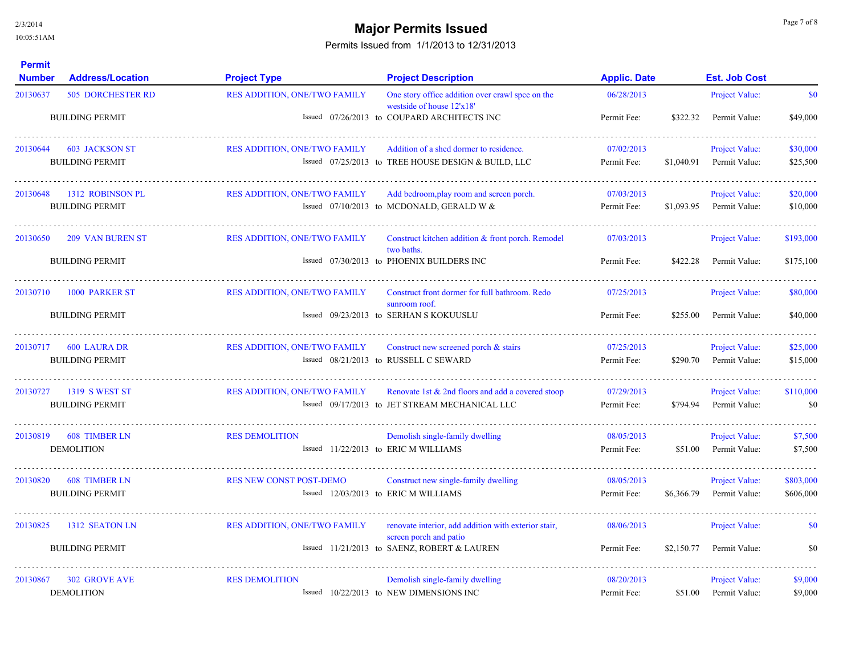# **Major Permits Issued Major Permits Issued**

| <b>Permit</b><br><b>Number</b> | <b>Address/Location</b>  | <b>Project Type</b>                  | <b>Project Description</b>                                                     | <b>Applic. Date</b> |            | <b>Est. Job Cost</b> |           |
|--------------------------------|--------------------------|--------------------------------------|--------------------------------------------------------------------------------|---------------------|------------|----------------------|-----------|
| 20130637                       | <b>505 DORCHESTER RD</b> | RES ADDITION, ONE/TWO FAMILY         | One story office addition over crawl spce on the<br>westside of house 12'x18'  | 06/28/2013          |            | Project Value:       | \$0       |
|                                | <b>BUILDING PERMIT</b>   |                                      | Issued 07/26/2013 to COUPARD ARCHITECTS INC                                    | Permit Fee:         | \$322.32   | Permit Value:        | \$49,000  |
| 20130644                       | <b>603 JACKSON ST</b>    | <b>RES ADDITION, ONE/TWO FAMILY</b>  | Addition of a shed dormer to residence.                                        | 07/02/2013          |            | Project Value:       | \$30,000  |
|                                | <b>BUILDING PERMIT</b>   |                                      | Issued 07/25/2013 to TREE HOUSE DESIGN & BUILD, LLC                            | Permit Fee:         | \$1,040.91 | Permit Value:        | \$25,500  |
| 20130648                       | 1312 ROBINSON PL         | <b>RES ADDITION, ONE/TWO FAMILY</b>  | Add bedroom, play room and screen porch.                                       | 07/03/2013          |            | Project Value:       | \$20,000  |
|                                | <b>BUILDING PERMIT</b>   |                                      | Issued $07/10/2013$ to MCDONALD, GERALD W &                                    | Permit Fee:         | \$1,093.95 | Permit Value:        | \$10,000  |
| 20130650                       | <b>209 VAN BUREN ST</b>  | RES ADDITION, ONE/TWO FAMILY         | Construct kitchen addition & front porch. Remodel<br>two baths.                | 07/03/2013          |            | Project Value:       | \$193,000 |
|                                | <b>BUILDING PERMIT</b>   |                                      | Issued 07/30/2013 to PHOENIX BUILDERS INC                                      | Permit Fee:         | \$422.28   | Permit Value:        | \$175,100 |
| 20130710                       | 1000 PARKER ST           | <b>RES ADDITION, ONE/TWO FAMILY</b>  | Construct front dormer for full bathroom. Redo<br>sunroom roof.                | 07/25/2013          |            | Project Value:       | \$80,000  |
|                                | <b>BUILDING PERMIT</b>   |                                      | Issued 09/23/2013 to SERHAN S KOKUUSLU                                         | Permit Fee:         | \$255.00   | Permit Value:        | \$40,000  |
| 20130717                       | 600 LAURA DR             | <b>RES ADDITION, ONE/TWO FAMILY</b>  | Construct new screened porch $\&$ stairs                                       | 07/25/2013          |            | Project Value:       | \$25,000  |
|                                | <b>BUILDING PERMIT</b>   |                                      | Issued 08/21/2013 to RUSSELL C SEWARD                                          | Permit Fee:         | \$290.70   | Permit Value:        | \$15,000  |
| 20130727                       | 1319 S WEST ST           | <b>RES ADDITION, ONE/TWO FAMILY</b>  | Renovate 1st & 2nd floors and add a covered stoop                              | 07/29/2013          |            | Project Value:       | \$110,000 |
|                                | <b>BUILDING PERMIT</b>   |                                      | Issued 09/17/2013 to JET STREAM MECHANICAL LLC                                 | Permit Fee:         | \$794.94   | Permit Value:        | \$0       |
| 20130819                       | <b>608 TIMBER LN</b>     | <b>RES DEMOLITION</b>                | Demolish single-family dwelling                                                | 08/05/2013          |            | Project Value:       | \$7,500   |
|                                | <b>DEMOLITION</b>        | Issued 11/22/2013 to ERIC M WILLIAMS |                                                                                | Permit Fee:         | \$51.00    | Permit Value:        | \$7,500   |
| 20130820                       | <b>608 TIMBER LN</b>     | <b>RES NEW CONST POST-DEMO</b>       | Construct new single-family dwelling                                           | 08/05/2013          |            | Project Value:       | \$803,000 |
|                                | <b>BUILDING PERMIT</b>   | Issued 12/03/2013 to ERIC M WILLIAMS |                                                                                | Permit Fee:         | \$6,366.79 | Permit Value:        | \$606,000 |
| 20130825                       | 1312 SEATON LN           | <b>RES ADDITION, ONE/TWO FAMILY</b>  | renovate interior, add addition with exterior stair,<br>screen porch and patio | 08/06/2013          |            | Project Value:       | <b>SO</b> |
|                                | <b>BUILDING PERMIT</b>   |                                      | Issued 11/21/2013 to SAENZ, ROBERT & LAUREN                                    | Permit Fee:         | \$2,150.77 | Permit Value:        | \$0       |
| 20130867                       | <b>302 GROVE AVE</b>     | <b>RES DEMOLITION</b>                | Demolish single-family dwelling                                                | 08/20/2013          |            | Project Value:       | \$9,000   |
|                                | <b>DEMOLITION</b>        |                                      | Issued 10/22/2013 to NEW DIMENSIONS INC                                        | Permit Fee:         | \$51.00    | Permit Value:        | \$9,000   |